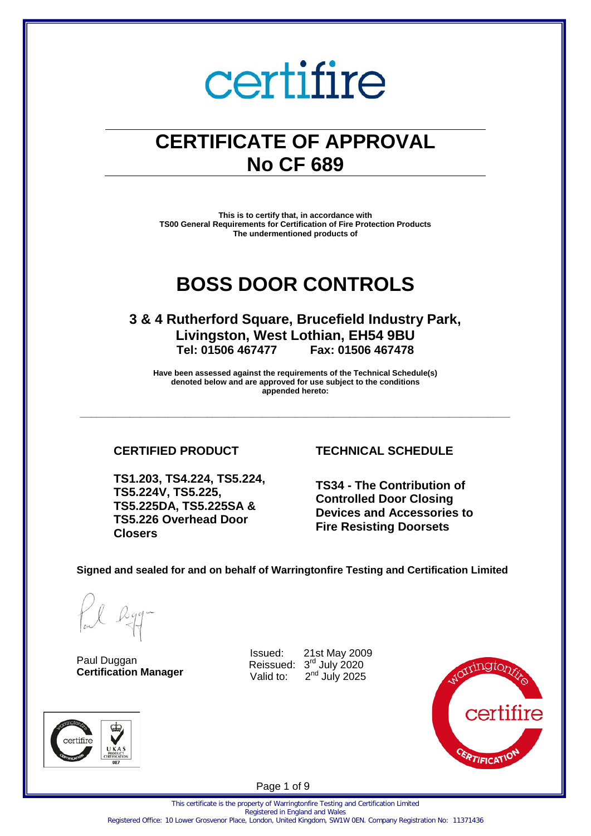### **CERTIFICATE OF APPROVAL No CF 689**

**This is to certify that, in accordance with TS00 General Requirements for Certification of Fire Protection Products The undermentioned products of** 

### **BOSS DOOR CONTROLS**

**3 & 4 Rutherford Square, Brucefield Industry Park, Livingston, West Lothian, EH54 9BU Tel: 01506 467477 Fax: 01506 467478** 

**Have been assessed against the requirements of the Technical Schedule(s) denoted below and are approved for use subject to the conditions appended hereto:** 

**\_\_\_\_\_\_\_\_\_\_\_\_\_\_\_\_\_\_\_\_\_\_\_\_\_\_\_\_\_\_\_\_\_\_\_\_\_\_\_\_\_\_\_\_\_\_\_\_\_\_\_\_\_\_\_\_\_\_\_\_\_\_\_\_\_\_\_\_\_\_\_\_\_\_\_\_\_\_** 

**TS1.203, TS4.224, TS5.224, TS5.224V, TS5.225, TS5.225DA, TS5.225SA & TS5.226 Overhead Door Closers**

### **CERTIFIED PRODUCT TECHNICAL SCHEDULE**

**TS34 - The Contribution of Controlled Door Closing Devices and Accessories to Fire Resisting Doorsets**

#### **Signed and sealed for and on behalf of Warringtonfire Testing and Certification Limited**

certifire

Paul Duggan **Certification Manager** luggan<br>
Reissued: 3<sup>rd</sup> July 2020

Issued: 21st May 2009 Valid to:  $2<sup>nd</sup>$  July 2025



Page 1 of 9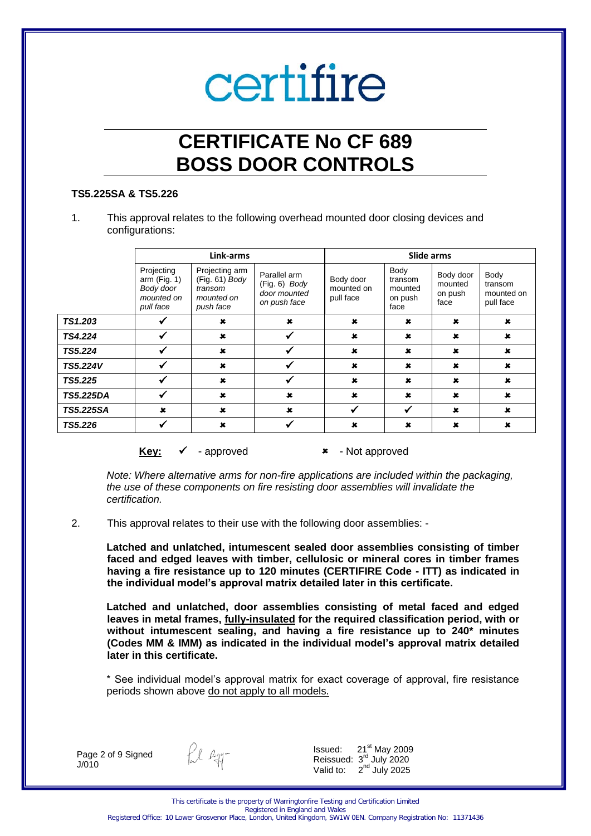## **CERTIFICATE No CF 689 BOSS DOOR CONTROLS**

#### **TS5.225SA & TS5.226**

1. This approval relates to the following overhead mounted door closing devices and configurations:

|                  | Link-arms                                                         |                                                                        |                                                                 | Slide arms                           |                                               |                                         |                                            |  |
|------------------|-------------------------------------------------------------------|------------------------------------------------------------------------|-----------------------------------------------------------------|--------------------------------------|-----------------------------------------------|-----------------------------------------|--------------------------------------------|--|
|                  | Projecting<br>arm(Fig. 1)<br>Body door<br>mounted on<br>pull face | Projecting arm<br>(Fig. 61) Body<br>transom<br>mounted on<br>push face | Parallel arm<br>$(Fig. 6)$ Body<br>door mounted<br>on push face | Body door<br>mounted on<br>pull face | Body<br>transom<br>mounted<br>on push<br>face | Body door<br>mounted<br>on push<br>face | Body<br>transom<br>mounted on<br>pull face |  |
| TS1.203          | ✔                                                                 | $\mathbf x$                                                            | $\mathbf x$                                                     | $\boldsymbol{\mathsf{x}}$            | $\mathbf x$                                   | $\mathbf x$                             | $\mathbf x$                                |  |
| TS4.224          | $\checkmark$                                                      | $\mathbf x$                                                            | ✔                                                               | $\mathbf x$                          | $\mathbf x$                                   | $\mathbf x$                             | $\mathbf x$                                |  |
| TS5.224          | $\checkmark$                                                      | $\mathbf x$                                                            |                                                                 | $\mathbf x$                          | $\pmb{x}$                                     | $\pmb{x}$                               | $\mathbf x$                                |  |
| <b>TS5.224V</b>  | ✔                                                                 | $\pmb{\times}$                                                         | ✔                                                               | $\pmb{\times}$                       | $\mathbf x$                                   | $\mathbf x$                             | $\pmb{\times}$                             |  |
| TS5.225          | ✓                                                                 | $\mathbf x$                                                            | √                                                               | $\mathbf x$                          | $\mathbf x$                                   | $\mathbf x$                             | $\mathbf x$                                |  |
| <b>TS5.225DA</b> | ✔                                                                 | $\mathbf x$                                                            | $\mathbf x$                                                     | $\mathbf x$                          | $\star$                                       | $\pmb{x}$                               | $\mathbf x$                                |  |
| <b>TS5.225SA</b> | $\mathbf x$                                                       | $\mathbf x$                                                            | $\mathbf x$                                                     | V                                    | ✔                                             | $\pmb{x}$                               | $\mathbf x$                                |  |
| TS5.226          | $\checkmark$                                                      | $\mathbf x$                                                            |                                                                 | $\boldsymbol{\mathsf{x}}$            | $\mathbf x$                                   | ×                                       | ×                                          |  |

**Key:** ✓ - approved **\*** - Not approved

*Note: Where alternative arms for non-fire applications are included within the packaging, the use of these components on fire resisting door assemblies will invalidate the certification.* 

2. This approval relates to their use with the following door assemblies: -

**Latched and unlatched, intumescent sealed door assemblies consisting of timber faced and edged leaves with timber, cellulosic or mineral cores in timber frames having a fire resistance up to 120 minutes (CERTIFIRE Code - ITT) as indicated in the individual model's approval matrix detailed later in this certificate.**

**Latched and unlatched, door assemblies consisting of metal faced and edged leaves in metal frames, fully-insulated for the required classification period, with or without intumescent sealing, and having a fire resistance up to 240\* minutes (Codes MM & IMM) as indicated in the individual model's approval matrix detailed later in this certificate.**

\* See individual model's approval matrix for exact coverage of approval, fire resistance periods shown above do not apply to all models.

Page 2 of 9 Signed J/010

fil egg-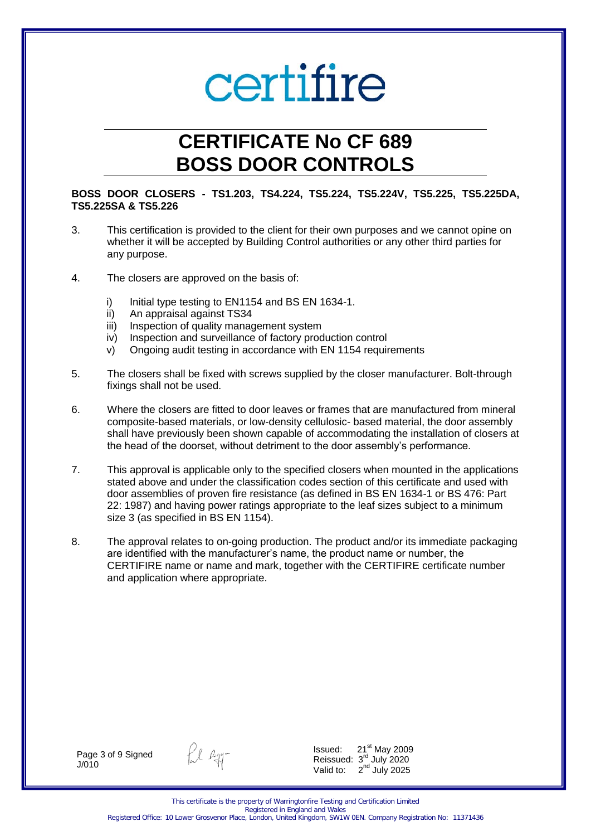## **CERTIFICATE No CF 689 BOSS DOOR CONTROLS**

#### **BOSS DOOR CLOSERS - TS1.203, TS4.224, TS5.224, TS5.224V, TS5.225, TS5.225DA, TS5.225SA & TS5.226**

- 3. This certification is provided to the client for their own purposes and we cannot opine on whether it will be accepted by Building Control authorities or any other third parties for any purpose.
- 4. The closers are approved on the basis of:
	- i) Initial type testing to EN1154 and BS EN 1634-1.
	- ii) An appraisal against TS34
	- iii) Inspection of quality management system
	- iv) Inspection and surveillance of factory production control
	- v) Ongoing audit testing in accordance with EN 1154 requirements
- 5. The closers shall be fixed with screws supplied by the closer manufacturer. Bolt-through fixings shall not be used.
- 6. Where the closers are fitted to door leaves or frames that are manufactured from mineral composite-based materials, or low-density cellulosic- based material, the door assembly shall have previously been shown capable of accommodating the installation of closers at the head of the doorset, without detriment to the door assembly's performance.
- 7. This approval is applicable only to the specified closers when mounted in the applications stated above and under the classification codes section of this certificate and used with door assemblies of proven fire resistance (as defined in BS EN 1634-1 or BS 476: Part 22: 1987) and having power ratings appropriate to the leaf sizes subject to a minimum size 3 (as specified in BS EN 1154).
- 8. The approval relates to on-going production. The product and/or its immediate packaging are identified with the manufacturer's name, the product name or number, the CERTIFIRE name or name and mark, together with the CERTIFIRE certificate number and application where appropriate.

Page 3 of 9 Signed J/010

fil agg-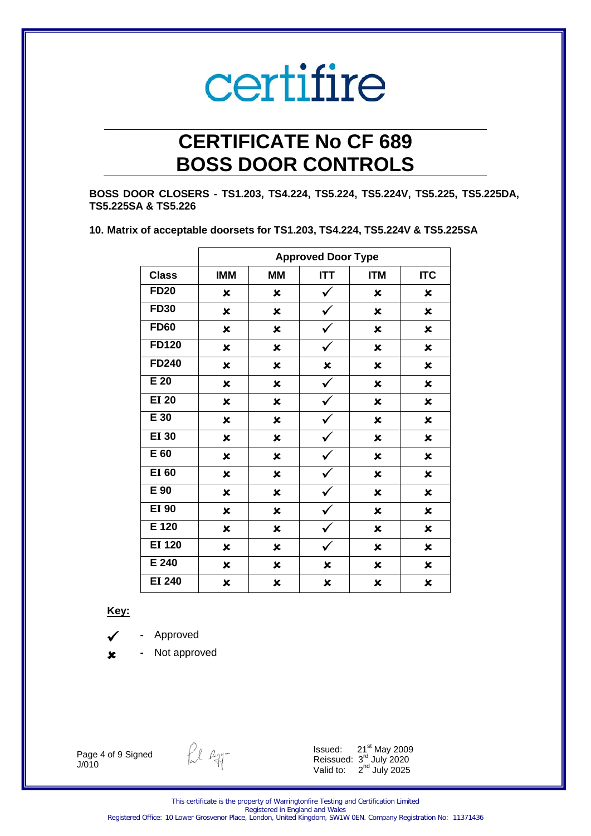## **CERTIFICATE No CF 689 BOSS DOOR CONTROLS**

**BOSS DOOR CLOSERS - TS1.203, TS4.224, TS5.224, TS5.224V, TS5.225, TS5.225DA, TS5.225SA & TS5.226** 

| 10. Matrix of acceptable doorsets for TS1.203, TS4.224, TS5.224V & TS5.225SA |  |
|------------------------------------------------------------------------------|--|
|------------------------------------------------------------------------------|--|

|               | <b>Approved Door Type</b> |                |              |                           |            |  |  |
|---------------|---------------------------|----------------|--------------|---------------------------|------------|--|--|
| <b>Class</b>  | <b>IMM</b>                | <b>MM</b>      | <b>ITT</b>   | <b>ITM</b>                | <b>ITC</b> |  |  |
| <b>FD20</b>   | $\boldsymbol{\mathsf{x}}$ | ×              | ✓            | ×                         | ×          |  |  |
| <b>FD30</b>   | $\pmb{\times}$            | ×              | ✓            | $\pmb{\times}$            | ×          |  |  |
| <b>FD60</b>   | $\pmb{\times}$            | ×              | ✓            | $\pmb{\times}$            | ×          |  |  |
| <b>FD120</b>  | $\pmb{\times}$            | ×              |              | $\boldsymbol{\mathsf{x}}$ | ×          |  |  |
| FD240         | $\pmb{\times}$            | ×              | ×            | $\pmb{\times}$            | ×          |  |  |
| E 20          | $\pmb{\times}$            | $\pmb{\times}$ | $\checkmark$ | $\pmb{\times}$            | ×          |  |  |
| <b>EI 20</b>  | $\pmb{\times}$            | ×              | $\checkmark$ | $\boldsymbol{\mathsf{x}}$ | ×          |  |  |
| E 30          | $\pmb{\times}$            | ×              | ✓            | ×                         | ×          |  |  |
| <b>EI 30</b>  | $\pmb{\times}$            | ×              | ✓            | $\pmb{\times}$            | ×          |  |  |
| E 60          | $\pmb{\times}$            | ×              | ✔            | $\pmb{\times}$            | ×          |  |  |
| <b>EI 60</b>  | ×                         | ×              | V            | ×                         | ×          |  |  |
| E 90          | ×                         | ×              | ✓            | $\pmb{\times}$            | ×          |  |  |
| <b>EI 90</b>  | ×                         | ×              | ✓            | $\boldsymbol{\mathsf{x}}$ | ×          |  |  |
| E 120         | $\pmb{\times}$            | ×              | ✓            | $\pmb{\times}$            | ×          |  |  |
| <b>EI 120</b> | $\pmb{\times}$            | ×              | ✓            | ×                         | ×          |  |  |
| E 240         | $\pmb{\times}$            | ×              | ×            | ×                         | ×          |  |  |
| <b>EI 240</b> | $\pmb{\times}$            | ×              | ×            | ×                         | ×          |  |  |

**Key:** 

- **-** Approved
- **-** Not approved

Page 4 of 9 Signed J/010

fel agg-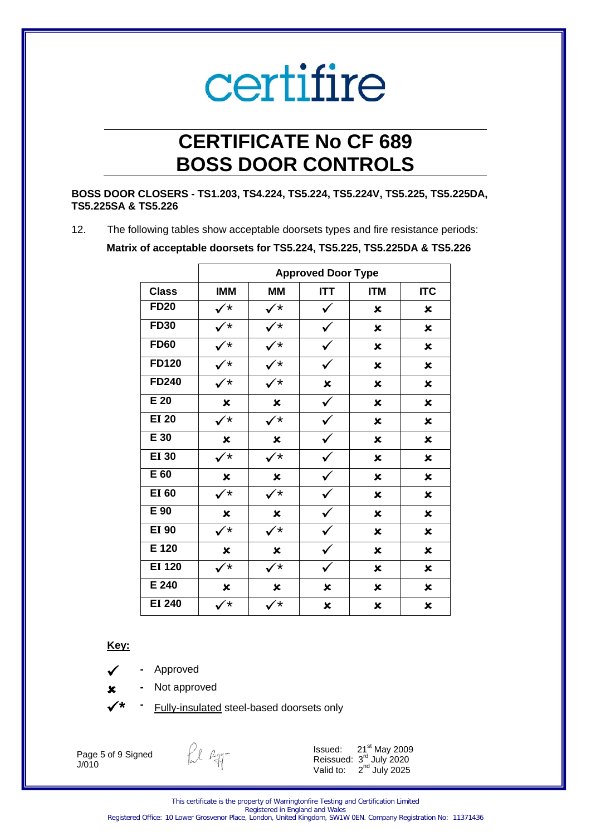## **CERTIFICATE No CF 689 BOSS DOOR CONTROLS**

#### **BOSS DOOR CLOSERS - TS1.203, TS4.224, TS5.224, TS5.224V, TS5.225, TS5.225DA, TS5.225SA & TS5.226**

12. The following tables show acceptable doorsets types and fire resistance periods: **Matrix of acceptable doorsets for TS5.224, TS5.225, TS5.225DA & TS5.226** 

|               | <b>Approved Door Type</b> |                      |            |                           |                           |  |  |
|---------------|---------------------------|----------------------|------------|---------------------------|---------------------------|--|--|
| <b>Class</b>  | <b>IMM</b>                | <b>MM</b>            | <b>ITT</b> | <b>ITM</b>                | <b>ITC</b>                |  |  |
| <b>FD20</b>   | $\checkmark^*$            | $\checkmark^*$       | ✓          | ×                         | $\boldsymbol{\mathsf{x}}$ |  |  |
| <b>FD30</b>   | $\checkmark^*$            | ✓∗                   | ✓          | ×                         | ×                         |  |  |
| <b>FD60</b>   | $\checkmark$              | ✓∗                   | ✔          | ×                         | ×                         |  |  |
| <b>FD120</b>  | $\checkmark^*$            | $\checkmark^*$       | ✓          | ×                         | ×                         |  |  |
| FD240         | $\checkmark^*$            | $\checkmark^*$       | ×          | ×                         | ×                         |  |  |
| E 20          | $\boldsymbol{\mathsf{x}}$ | ×                    | ✓          | $\boldsymbol{\mathsf{x}}$ | ×                         |  |  |
| <b>EI 20</b>  | $\checkmark^{\star}$      | $\checkmark^{\star}$ |            | $\pmb{\times}$            | ×                         |  |  |
| E 30          | ×                         | ×                    |            | ×                         | ×                         |  |  |
| <b>EI 30</b>  | $\checkmark^*$            | $\checkmark^*$       |            | $\pmb{\times}$            | ×                         |  |  |
| E 60          | ×                         | ×                    |            | ×                         | ×                         |  |  |
| <b>EI 60</b>  | $\checkmark^*$            | $\checkmark^*$       | ✓          | ×                         | ×                         |  |  |
| E 90          | ×                         | ×                    |            | ×                         | ×                         |  |  |
| <b>EI 90</b>  | $\checkmark^*$            | $\checkmark^*$       | V          | $\boldsymbol{\mathsf{x}}$ | ×                         |  |  |
| E 120         | ×                         | ×                    | V          | ×                         | ×                         |  |  |
| <b>EI 120</b> | $\checkmark^*$            | $\checkmark$         |            | ×                         | ×                         |  |  |
| E 240         | ×                         | ×                    | ×          | ×                         | ×                         |  |  |
| <b>EI 240</b> | $\checkmark^*$            | /*                   | ×          | $\pmb{\times}$            | ×                         |  |  |

 **Key:** 

- **-** Approved
- **-** Not approved
	- **Fully-insulated steel-based doorsets only**

Page 5 of 9 Signed J/010

fil agg-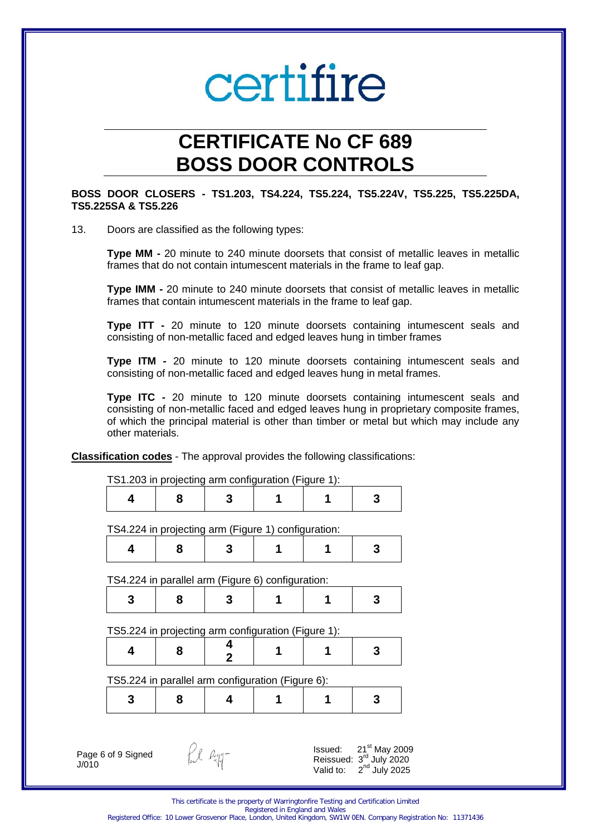## **CERTIFICATE No CF 689 BOSS DOOR CONTROLS**

#### **BOSS DOOR CLOSERS - TS1.203, TS4.224, TS5.224, TS5.224V, TS5.225, TS5.225DA, TS5.225SA & TS5.226**

#### 13. Doors are classified as the following types:

**Type MM -** 20 minute to 240 minute doorsets that consist of metallic leaves in metallic frames that do not contain intumescent materials in the frame to leaf gap.

**Type IMM -** 20 minute to 240 minute doorsets that consist of metallic leaves in metallic frames that contain intumescent materials in the frame to leaf gap.

**Type ITT -** 20 minute to 120 minute doorsets containing intumescent seals and consisting of non-metallic faced and edged leaves hung in timber frames

**Type ITM -** 20 minute to 120 minute doorsets containing intumescent seals and consisting of non-metallic faced and edged leaves hung in metal frames.

**Type ITC -** 20 minute to 120 minute doorsets containing intumescent seals and consisting of non-metallic faced and edged leaves hung in proprietary composite frames, of which the principal material is other than timber or metal but which may include any other materials.

**Classification codes** - The approval provides the following classifications:

| 4 | 8                                                   | 3 |   | 3 |
|---|-----------------------------------------------------|---|---|---|
|   | TS4.224 in projecting arm (Figure 1) configuration: |   |   |   |
| 4 | 8                                                   | 3 |   | 3 |
|   | TS4.224 in parallel arm (Figure 6) configuration:   |   |   |   |
| 3 | 8                                                   | 3 |   | 3 |
|   | TS5.224 in projecting arm configuration (Figure 1): |   |   |   |
| 4 | 8                                                   | 2 |   | 3 |
|   | TS5.224 in parallel arm configuration (Figure 6):   |   |   |   |
| 3 | 8                                                   | 4 | 1 | 3 |
|   |                                                     |   |   |   |
|   |                                                     |   |   |   |

This certificate is the property of Warringtonfire Testing and Certification Limited Registered in England and Wales

 $2<sup>nd</sup>$  July 2025

Valid to:

Registered Office: 10 Lower Grosvenor Place, London, United Kingdom, SW1W 0EN. Company Registration No: 11371436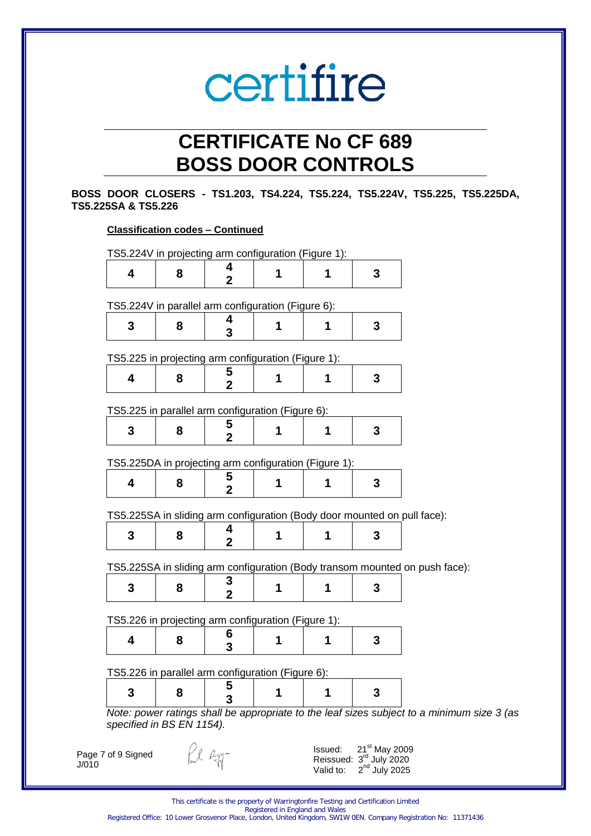## **CERTIFICATE No CF 689 BOSS DOOR CONTROLS**

**BOSS DOOR CLOSERS - TS1.203, TS4.224, TS5.224, TS5.224V, TS5.225, TS5.225DA, TS5.225SA & TS5.226** 

| 4 | 8                                                     | 4<br>$\mathbf 2$ | 1 | 1 | 3 |                                                                                            |
|---|-------------------------------------------------------|------------------|---|---|---|--------------------------------------------------------------------------------------------|
|   | TS5.224V in parallel arm configuration (Figure 6):    |                  |   |   |   |                                                                                            |
| 3 | 8                                                     | 4<br>3           | 1 | 1 | 3 |                                                                                            |
|   | TS5.225 in projecting arm configuration (Figure 1):   |                  |   |   |   |                                                                                            |
| 4 | 8                                                     | 5<br>2           |   | 1 | 3 |                                                                                            |
|   | TS5.225 in parallel arm configuration (Figure 6):     |                  |   |   |   |                                                                                            |
| 3 | 8                                                     | 5                | 1 | 1 | 3 |                                                                                            |
|   | TS5.225DA in projecting arm configuration (Figure 1): |                  |   |   |   |                                                                                            |
| 4 | 8                                                     | 5<br>2           | 1 | 1 | 3 |                                                                                            |
|   |                                                       |                  |   |   |   | TS5.225SA in sliding arm configuration (Body door mounted on pull face):                   |
| 3 | 8                                                     | 4<br>$\mathbf 2$ | 1 | 1 | 3 |                                                                                            |
|   |                                                       |                  |   |   |   | TS5.225SA in sliding arm configuration (Body transom mounted on push face):                |
| 3 | 8                                                     | 3<br>2           | 1 | 1 | 3 |                                                                                            |
|   | TS5.226 in projecting arm configuration (Figure 1):   |                  |   |   |   |                                                                                            |
| 4 | 8                                                     | 6<br>3           | 1 |   | 3 |                                                                                            |
|   | TS5.226 in parallel arm configuration (Figure 6):     |                  |   |   |   |                                                                                            |
|   | 8                                                     | 5<br>3           | 1 | 1 | 3 |                                                                                            |
| 3 |                                                       |                  |   |   |   | Note: power ratings shall be appropriate to the leaf sizes subject to a minimum size 3 (as |

This certificate is the property of Warringtonfire Testing and Certification Limited Registered in England and Wales Registered Office: 10 Lower Grosvenor Place, London, United Kingdom, SW1W 0EN. Company Registration No: 11371436

Reissued: 3<sup>rd</sup> July 2020 Valid to:  $2<sup>nd</sup>$  July 2025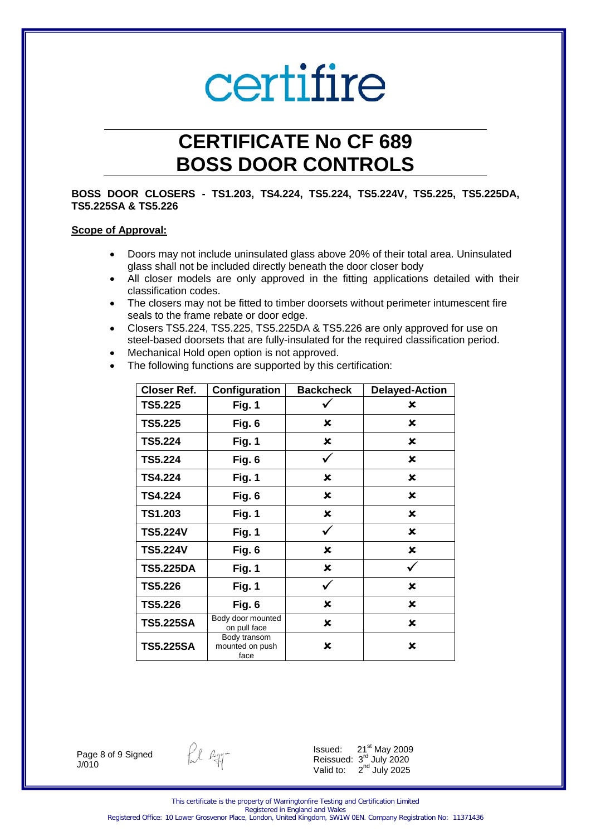## **CERTIFICATE No CF 689 BOSS DOOR CONTROLS**

#### **BOSS DOOR CLOSERS - TS1.203, TS4.224, TS5.224, TS5.224V, TS5.225, TS5.225DA, TS5.225SA & TS5.226**

#### **Scope of Approval:**

- Doors may not include uninsulated glass above 20% of their total area. Uninsulated glass shall not be included directly beneath the door closer body
- All closer models are only approved in the fitting applications detailed with their classification codes.
- The closers may not be fitted to timber doorsets without perimeter intumescent fire seals to the frame rebate or door edge.
- Closers TS5.224, TS5.225, TS5.225DA & TS5.226 are only approved for use on steel-based doorsets that are fully-insulated for the required classification period.
- Mechanical Hold open option is not approved.
- The following functions are supported by this certification:

| <b>Closer Ref.</b> | Configuration                           | <b>Backcheck</b>          | <b>Delayed-Action</b> |
|--------------------|-----------------------------------------|---------------------------|-----------------------|
| <b>TS5.225</b>     | Fig. 1                                  |                           | ×                     |
| TS5.225            | Fig. 6                                  | ×                         | x                     |
| <b>TS5.224</b>     | Fig. 1                                  | $\boldsymbol{\mathsf{x}}$ | ×                     |
| TS5.224            | Fig. 6                                  | ✓                         | $\mathbf x$           |
| <b>TS4.224</b>     | Fig. 1                                  | ×                         | x                     |
| TS4.224            | Fig. 6                                  | ×                         | ×                     |
| TS1.203            | Fig. 1                                  | x                         | ×                     |
| <b>TS5.224V</b>    | Fig. 1                                  | ✓                         | ×                     |
| <b>TS5.224V</b>    | Fig. 6                                  | ×                         | ×                     |
| <b>TS5.225DA</b>   | Fig. 1                                  | ×                         |                       |
| <b>TS5.226</b>     | Fig. 1                                  | ✓                         | ×                     |
| TS5.226            | Fig. 6                                  | ×                         | ×                     |
| <b>TS5.225SA</b>   | Body door mounted<br>on pull face       | $\boldsymbol{\mathsf{x}}$ | x                     |
| <b>TS5.225SA</b>   | Body transom<br>mounted on push<br>face | ×                         | ×                     |

Page 8 of 9 Signed J/010

fil agg-